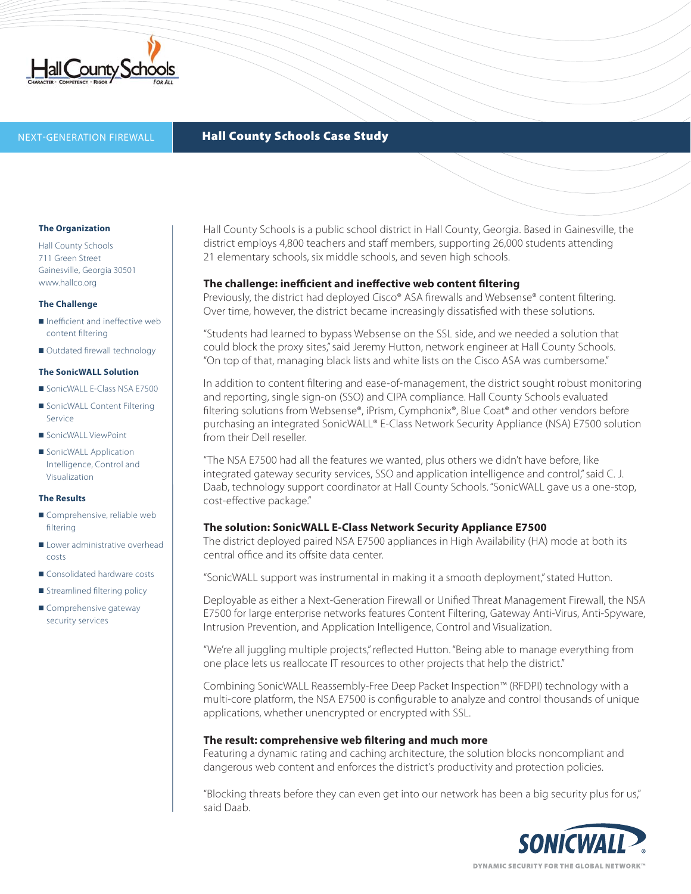

# NEXT-GENERATION FIREWALL **Hall County Schools Case Study**

### **The Organization**

Hall County Schools 711 Green Street Gainesville, Georgia 30501 www.hallco.org

### **The Challenge**

- Inefficient and ineffective web content filtering
- Outdated firewall technology

### **The SonicWALL Solution**

- SonicWALL E-Class NSA E7500
- SonicWALL Content Filtering Service
- SonicWALL ViewPoint
- SonicWALL Application Intelligence, Control and Visualization

### **The Results**

- Comprehensive, reliable web filtering
- Lower administrative overhead costs
- Consolidated hardware costs
- Streamlined filtering policy
- Comprehensive gateway security services

Hall County Schools is a public school district in Hall County, Georgia. Based in Gainesville, the district employs 4,800 teachers and staff members, supporting 26,000 students attending 21 elementary schools, six middle schools, and seven high schools.

## **The challenge: inefficient and ineffective web content filtering**

Previously, the district had deployed Cisco® ASA firewalls and Websense® content filtering. Over time, however, the district became increasingly dissatisfied with these solutions.

"Students had learned to bypass Websense on the SSL side, and we needed a solution that could block the proxy sites," said Jeremy Hutton, network engineer at Hall County Schools. "On top of that, managing black lists and white lists on the Cisco ASA was cumbersome."

In addition to content filtering and ease-of-management, the district sought robust monitoring and reporting, single sign-on (SSO) and CIPA compliance. Hall County Schools evaluated filtering solutions from Websense®, iPrism, Cymphonix®, Blue Coat® and other vendors before purchasing an integrated SonicWALL® E-Class Network Security Appliance (NSA) E7500 solution from their Dell reseller.

"The NSA E7500 had all the features we wanted, plus others we didn't have before, like integrated gateway security services, SSO and application intelligence and control," said C. J. Daab, technology support coordinator at Hall County Schools. "SonicWALL gave us a one-stop, cost-effective package."

# **The solution: SonicWALL E-Class Network Security Appliance E7500**

The district deployed paired NSA E7500 appliances in High Availability (HA) mode at both its central office and its offsite data center.

"SonicWALL support was instrumental in making it a smooth deployment," stated Hutton.

Deployable as either a Next-Generation Firewall or Unified Threat Management Firewall, the NSA E7500 for large enterprise networks features Content Filtering, Gateway Anti-Virus, Anti-Spyware, Intrusion Prevention, and Application Intelligence, Control and Visualization.

"We're all juggling multiple projects," reflected Hutton. "Being able to manage everything from one place lets us reallocate IT resources to other projects that help the district."

Combining SonicWALL Reassembly-Free Deep Packet Inspection™ (RFDPI) technology with a multi-core platform, the NSA E7500 is configurable to analyze and control thousands of unique applications, whether unencrypted or encrypted with SSL.

## **The result: comprehensive web filtering and much more**

Featuring a dynamic rating and caching architecture, the solution blocks noncompliant and dangerous web content and enforces the district's productivity and protection policies.

"Blocking threats before they can even get into our network has been a big security plus for us," said Daab.